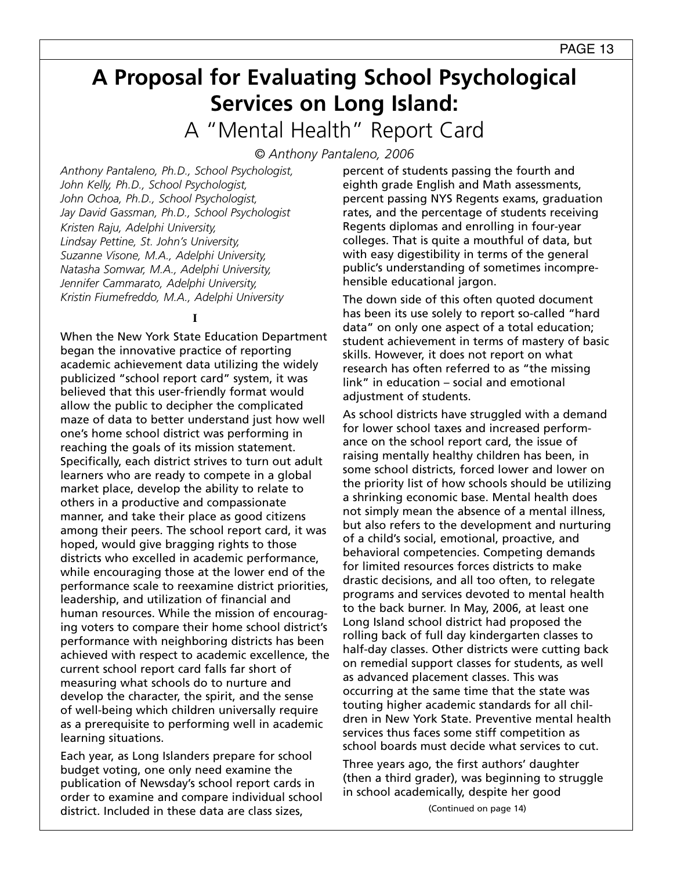# **A Proposal for Evaluating School Psychological Services on Long Island:** A "Mental Health" Report Card

*© Anthony Pantaleno, 2006*

*Anthony Pantaleno, Ph.D., School Psychologist, John Kelly, Ph.D., School Psychologist, John Ochoa, Ph.D., School Psychologist, Jay David Gassman, Ph.D., School Psychologist Kristen Raju, Adelphi University, Lindsay Pettine, St. John's University, Suzanne Visone, M.A., Adelphi University, Natasha Somwar, M.A., Adelphi University, Jennifer Cammarato, Adelphi University, Kristin Fiumefreddo, M.A., Adelphi University*

**I**

When the New York State Education Department began the innovative practice of reporting academic achievement data utilizing the widely publicized "school report card" system, it was believed that this user-friendly format would allow the public to decipher the complicated maze of data to better understand just how well one's home school district was performing in reaching the goals of its mission statement. Specifically, each district strives to turn out adult learners who are ready to compete in a global market place, develop the ability to relate to others in a productive and compassionate manner, and take their place as good citizens among their peers. The school report card, it was hoped, would give bragging rights to those districts who excelled in academic performance, while encouraging those at the lower end of the performance scale to reexamine district priorities, leadership, and utilization of financial and human resources. While the mission of encouraging voters to compare their home school district's performance with neighboring districts has been achieved with respect to academic excellence, the current school report card falls far short of measuring what schools do to nurture and develop the character, the spirit, and the sense of well-being which children universally require as a prerequisite to performing well in academic learning situations.

Each year, as Long Islanders prepare for school budget voting, one only need examine the publication of Newsday's school report cards in order to examine and compare individual school district. Included in these data are class sizes,

percent of students passing the fourth and eighth grade English and Math assessments, percent passing NYS Regents exams, graduation rates, and the percentage of students receiving Regents diplomas and enrolling in four-year colleges. That is quite a mouthful of data, but with easy digestibility in terms of the general public's understanding of sometimes incomprehensible educational jargon.

The down side of this often quoted document has been its use solely to report so-called "hard data" on only one aspect of a total education; student achievement in terms of mastery of basic skills. However, it does not report on what research has often referred to as "the missing link" in education – social and emotional adjustment of students.

As school districts have struggled with a demand for lower school taxes and increased performance on the school report card, the issue of raising mentally healthy children has been, in some school districts, forced lower and lower on the priority list of how schools should be utilizing a shrinking economic base. Mental health does not simply mean the absence of a mental illness, but also refers to the development and nurturing of a child's social, emotional, proactive, and behavioral competencies. Competing demands for limited resources forces districts to make drastic decisions, and all too often, to relegate programs and services devoted to mental health to the back burner. In May, 2006, at least one Long Island school district had proposed the rolling back of full day kindergarten classes to half-day classes. Other districts were cutting back on remedial support classes for students, as well as advanced placement classes. This was occurring at the same time that the state was touting higher academic standards for all children in New York State. Preventive mental health services thus faces some stiff competition as school boards must decide what services to cut.

Three years ago, the first authors' daughter (then a third grader), was beginning to struggle in school academically, despite her good

(Continued on page 14)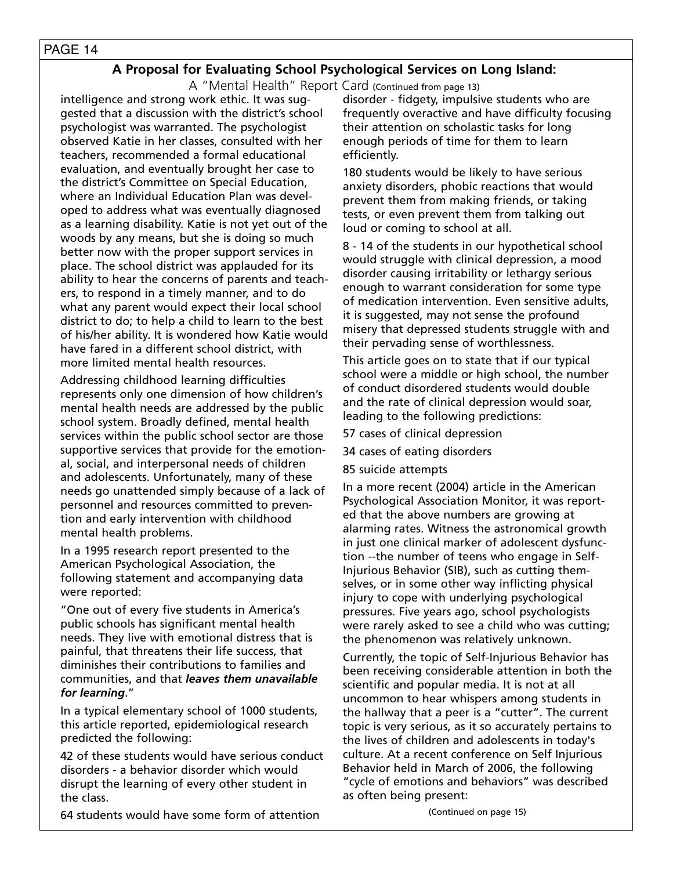#### **A Proposal for Evaluating School Psychological Services on Long Island:**

#### A "Mental Health" Report Card (Continued from page 13)

intelligence and strong work ethic. It was suggested that a discussion with the district's school psychologist was warranted. The psychologist observed Katie in her classes, consulted with her teachers, recommended a formal educational evaluation, and eventually brought her case to the district's Committee on Special Education, where an Individual Education Plan was developed to address what was eventually diagnosed as a learning disability. Katie is not yet out of the woods by any means, but she is doing so much better now with the proper support services in place. The school district was applauded for its ability to hear the concerns of parents and teachers, to respond in a timely manner, and to do what any parent would expect their local school district to do; to help a child to learn to the best of his/her ability. It is wondered how Katie would have fared in a different school district, with more limited mental health resources.

Addressing childhood learning difficulties represents only one dimension of how children's mental health needs are addressed by the public school system. Broadly defined, mental health services within the public school sector are those supportive services that provide for the emotional, social, and interpersonal needs of children and adolescents. Unfortunately, many of these needs go unattended simply because of a lack of personnel and resources committed to prevention and early intervention with childhood mental health problems.

In a 1995 research report presented to the American Psychological Association, the following statement and accompanying data were reported:

"One out of every five students in America's public schools has significant mental health needs. They live with emotional distress that is painful, that threatens their life success, that diminishes their contributions to families and communities, and that *leaves them unavailable for learning*."

In a typical elementary school of 1000 students, this article reported, epidemiological research predicted the following:

42 of these students would have serious conduct disorders - a behavior disorder which would disrupt the learning of every other student in the class.

64 students would have some form of attention

disorder - fidgety, impulsive students who are frequently overactive and have difficulty focusing their attention on scholastic tasks for long enough periods of time for them to learn efficiently.

180 students would be likely to have serious anxiety disorders, phobic reactions that would prevent them from making friends, or taking tests, or even prevent them from talking out loud or coming to school at all.

8 - 14 of the students in our hypothetical school would struggle with clinical depression, a mood disorder causing irritability or lethargy serious enough to warrant consideration for some type of medication intervention. Even sensitive adults, it is suggested, may not sense the profound misery that depressed students struggle with and their pervading sense of worthlessness.

This article goes on to state that if our typical school were a middle or high school, the number of conduct disordered students would double and the rate of clinical depression would soar, leading to the following predictions:

57 cases of clinical depression

34 cases of eating disorders

85 suicide attempts

In a more recent (2004) article in the American Psychological Association Monitor, it was reported that the above numbers are growing at alarming rates. Witness the astronomical growth in just one clinical marker of adolescent dysfunction --the number of teens who engage in Self-Injurious Behavior (SIB), such as cutting themselves, or in some other way inflicting physical injury to cope with underlying psychological pressures. Five years ago, school psychologists were rarely asked to see a child who was cutting; the phenomenon was relatively unknown.

Currently, the topic of Self-Injurious Behavior has been receiving considerable attention in both the scientific and popular media. It is not at all uncommon to hear whispers among students in the hallway that a peer is a "cutter". The current topic is very serious, as it so accurately pertains to the lives of children and adolescents in today's culture. At a recent conference on Self Injurious Behavior held in March of 2006, the following "cycle of emotions and behaviors" was described as often being present:

(Continued on page 15)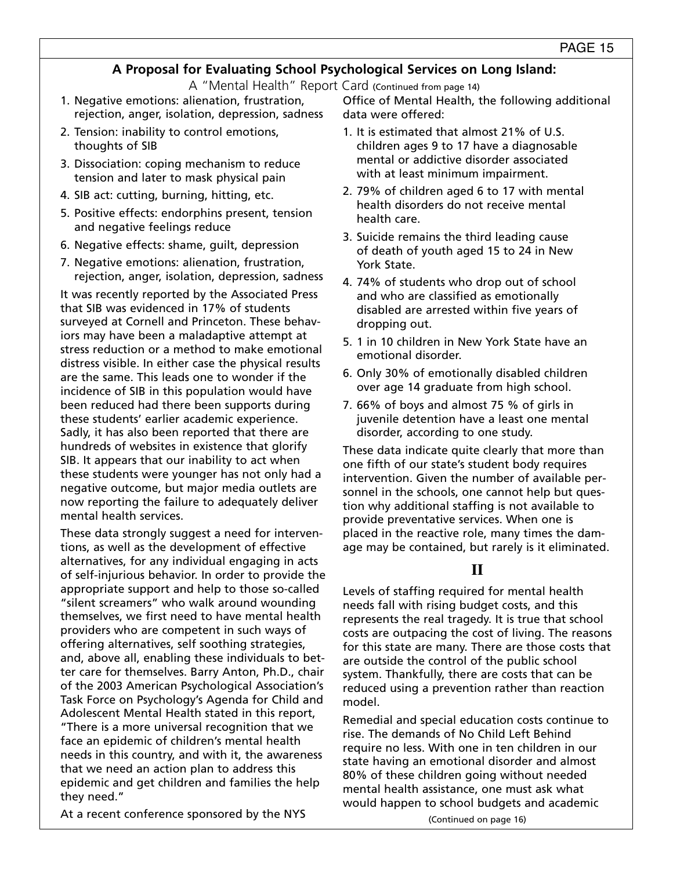A "Mental Health" Report Card (Continued from page 14)

- 1. Negative emotions: alienation, frustration, rejection, anger, isolation, depression, sadness
- 2. Tension: inability to control emotions, thoughts of SIB
- 3. Dissociation: coping mechanism to reduce tension and later to mask physical pain
- 4. SIB act: cutting, burning, hitting, etc.
- 5. Positive effects: endorphins present, tension and negative feelings reduce
- 6. Negative effects: shame, guilt, depression
- 7. Negative emotions: alienation, frustration, rejection, anger, isolation, depression, sadness

It was recently reported by the Associated Press that SIB was evidenced in 17% of students surveyed at Cornell and Princeton. These behaviors may have been a maladaptive attempt at stress reduction or a method to make emotional distress visible. In either case the physical results are the same. This leads one to wonder if the incidence of SIB in this population would have been reduced had there been supports during these students' earlier academic experience. Sadly, it has also been reported that there are hundreds of websites in existence that glorify SIB. It appears that our inability to act when these students were younger has not only had a negative outcome, but major media outlets are now reporting the failure to adequately deliver mental health services.

These data strongly suggest a need for interventions, as well as the development of effective alternatives, for any individual engaging in acts of self-injurious behavior. In order to provide the appropriate support and help to those so-called "silent screamers" who walk around wounding themselves, we first need to have mental health providers who are competent in such ways of offering alternatives, self soothing strategies, and, above all, enabling these individuals to better care for themselves. Barry Anton, Ph.D., chair of the 2003 American Psychological Association's Task Force on Psychology's Agenda for Child and Adolescent Mental Health stated in this report, "There is a more universal recognition that we face an epidemic of children's mental health needs in this country, and with it, the awareness that we need an action plan to address this epidemic and get children and families the help they need."

At a recent conference sponsored by the NYS

Office of Mental Health, the following additional data were offered:

- 1. It is estimated that almost 21% of U.S. children ages 9 to 17 have a diagnosable mental or addictive disorder associated with at least minimum impairment.
- 2. 79% of children aged 6 to 17 with mental health disorders do not receive mental health care.
- 3. Suicide remains the third leading cause of death of youth aged 15 to 24 in New York State.
- 4. 74% of students who drop out of school and who are classified as emotionally disabled are arrested within five years of dropping out.
- 5. 1 in 10 children in New York State have an emotional disorder.
- 6. Only 30% of emotionally disabled children over age 14 graduate from high school.
- 7. 66% of boys and almost 75 % of girls in juvenile detention have a least one mental disorder, according to one study.

These data indicate quite clearly that more than one fifth of our state's student body requires intervention. Given the number of available personnel in the schools, one cannot help but question why additional staffing is not available to provide preventative services. When one is placed in the reactive role, many times the damage may be contained, but rarely is it eliminated.

## **II**

Levels of staffing required for mental health needs fall with rising budget costs, and this represents the real tragedy. It is true that school costs are outpacing the cost of living. The reasons for this state are many. There are those costs that are outside the control of the public school system. Thankfully, there are costs that can be reduced using a prevention rather than reaction model.

Remedial and special education costs continue to rise. The demands of No Child Left Behind require no less. With one in ten children in our state having an emotional disorder and almost 80% of these children going without needed mental health assistance, one must ask what would happen to school budgets and academic

(Continued on page 16)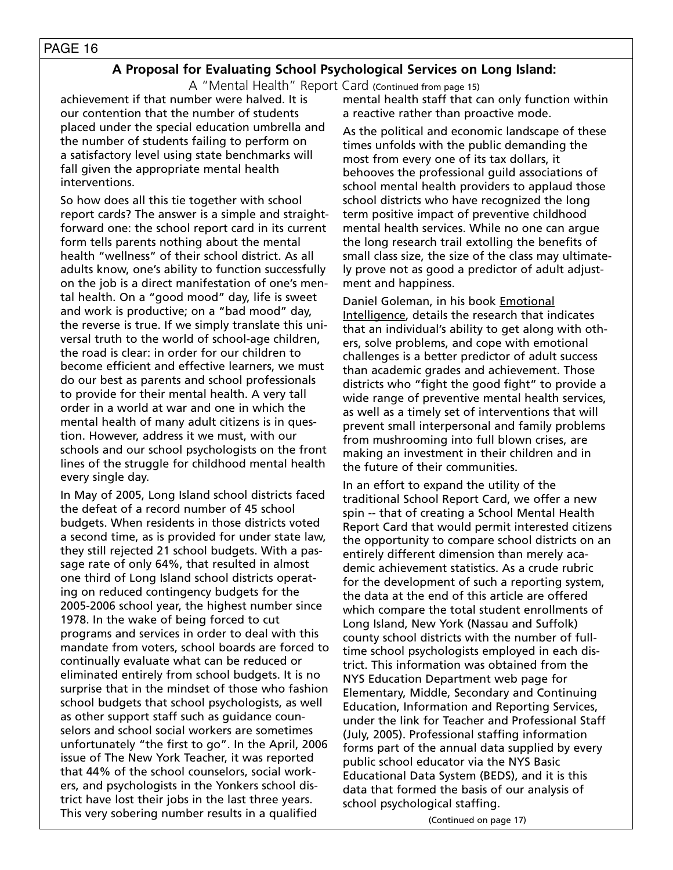#### **A Proposal for Evaluating School Psychological Services on Long Island:**

A "Mental Health" Report Card (Continued from page 15)

achievement if that number were halved. It is our contention that the number of students placed under the special education umbrella and the number of students failing to perform on a satisfactory level using state benchmarks will fall given the appropriate mental health interventions.

So how does all this tie together with school report cards? The answer is a simple and straightforward one: the school report card in its current form tells parents nothing about the mental health "wellness" of their school district. As all adults know, one's ability to function successfully on the job is a direct manifestation of one's mental health. On a "good mood" day, life is sweet and work is productive; on a "bad mood" day, the reverse is true. If we simply translate this universal truth to the world of school-age children, the road is clear: in order for our children to become efficient and effective learners, we must do our best as parents and school professionals to provide for their mental health. A very tall order in a world at war and one in which the mental health of many adult citizens is in question. However, address it we must, with our schools and our school psychologists on the front lines of the struggle for childhood mental health every single day.

In May of 2005, Long Island school districts faced the defeat of a record number of 45 school budgets. When residents in those districts voted a second time, as is provided for under state law, they still rejected 21 school budgets. With a passage rate of only 64%, that resulted in almost one third of Long Island school districts operating on reduced contingency budgets for the 2005-2006 school year, the highest number since 1978. In the wake of being forced to cut programs and services in order to deal with this mandate from voters, school boards are forced to continually evaluate what can be reduced or eliminated entirely from school budgets. It is no surprise that in the mindset of those who fashion school budgets that school psychologists, as well as other support staff such as guidance counselors and school social workers are sometimes unfortunately "the first to go". In the April, 2006 issue of The New York Teacher, it was reported that 44% of the school counselors, social workers, and psychologists in the Yonkers school district have lost their jobs in the last three years. This very sobering number results in a qualified

mental health staff that can only function within a reactive rather than proactive mode.

As the political and economic landscape of these times unfolds with the public demanding the most from every one of its tax dollars, it behooves the professional guild associations of school mental health providers to applaud those school districts who have recognized the long term positive impact of preventive childhood mental health services. While no one can argue the long research trail extolling the benefits of small class size, the size of the class may ultimately prove not as good a predictor of adult adjustment and happiness.

Daniel Goleman, in his book Emotional Intelligence, details the research that indicates that an individual's ability to get along with others, solve problems, and cope with emotional challenges is a better predictor of adult success than academic grades and achievement. Those districts who "fight the good fight" to provide a wide range of preventive mental health services, as well as a timely set of interventions that will prevent small interpersonal and family problems from mushrooming into full blown crises, are making an investment in their children and in the future of their communities.

In an effort to expand the utility of the traditional School Report Card, we offer a new spin -- that of creating a School Mental Health Report Card that would permit interested citizens the opportunity to compare school districts on an entirely different dimension than merely academic achievement statistics. As a crude rubric for the development of such a reporting system, the data at the end of this article are offered which compare the total student enrollments of Long Island, New York (Nassau and Suffolk) county school districts with the number of fulltime school psychologists employed in each district. This information was obtained from the NYS Education Department web page for Elementary, Middle, Secondary and Continuing Education, Information and Reporting Services, under the link for Teacher and Professional Staff (July, 2005). Professional staffing information forms part of the annual data supplied by every public school educator via the NYS Basic Educational Data System (BEDS), and it is this data that formed the basis of our analysis of school psychological staffing.

(Continued on page 17)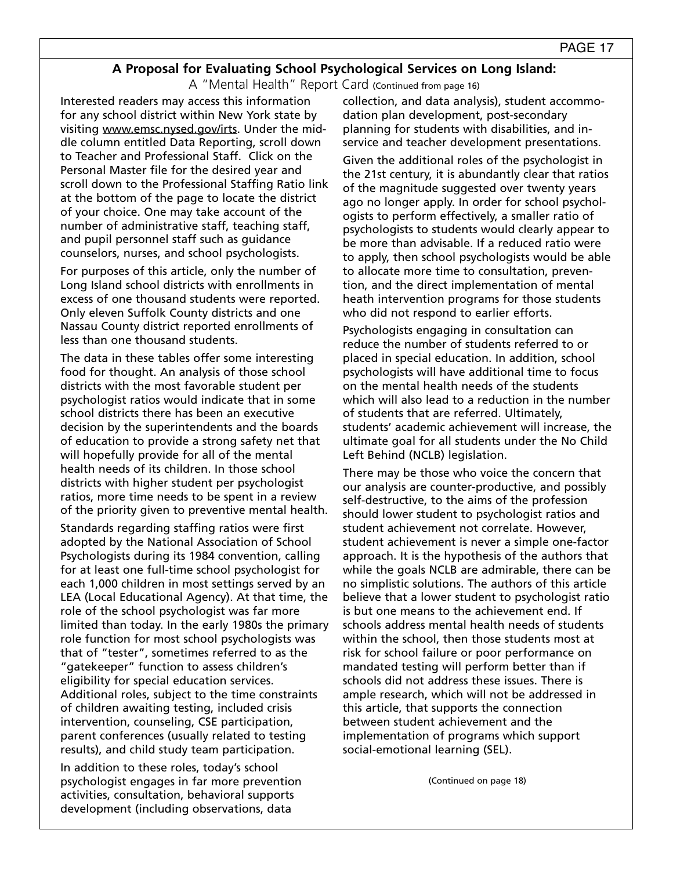#### A "Mental Health" Report Card (Continued from page 16)

Interested readers may access this information for any school district within New York state by visiting www.emsc.nysed.gov/irts. Under the middle column entitled Data Reporting, scroll down to Teacher and Professional Staff. Click on the Personal Master file for the desired year and scroll down to the Professional Staffing Ratio link at the bottom of the page to locate the district of your choice. One may take account of the number of administrative staff, teaching staff, and pupil personnel staff such as guidance counselors, nurses, and school psychologists.

For purposes of this article, only the number of Long Island school districts with enrollments in excess of one thousand students were reported. Only eleven Suffolk County districts and one Nassau County district reported enrollments of less than one thousand students.

The data in these tables offer some interesting food for thought. An analysis of those school districts with the most favorable student per psychologist ratios would indicate that in some school districts there has been an executive decision by the superintendents and the boards of education to provide a strong safety net that will hopefully provide for all of the mental health needs of its children. In those school districts with higher student per psychologist ratios, more time needs to be spent in a review of the priority given to preventive mental health.

Standards regarding staffing ratios were first adopted by the National Association of School Psychologists during its 1984 convention, calling for at least one full-time school psychologist for each 1,000 children in most settings served by an LEA (Local Educational Agency). At that time, the role of the school psychologist was far more limited than today. In the early 1980s the primary role function for most school psychologists was that of "tester", sometimes referred to as the "gatekeeper" function to assess children's eligibility for special education services. Additional roles, subject to the time constraints of children awaiting testing, included crisis intervention, counseling, CSE participation, parent conferences (usually related to testing results), and child study team participation.

In addition to these roles, today's school psychologist engages in far more prevention activities, consultation, behavioral supports development (including observations, data

collection, and data analysis), student accommodation plan development, post-secondary planning for students with disabilities, and inservice and teacher development presentations.

Given the additional roles of the psychologist in the 21st century, it is abundantly clear that ratios of the magnitude suggested over twenty years ago no longer apply. In order for school psychologists to perform effectively, a smaller ratio of psychologists to students would clearly appear to be more than advisable. If a reduced ratio were to apply, then school psychologists would be able to allocate more time to consultation, prevention, and the direct implementation of mental heath intervention programs for those students who did not respond to earlier efforts.

Psychologists engaging in consultation can reduce the number of students referred to or placed in special education. In addition, school psychologists will have additional time to focus on the mental health needs of the students which will also lead to a reduction in the number of students that are referred. Ultimately, students' academic achievement will increase, the ultimate goal for all students under the No Child Left Behind (NCLB) legislation.

There may be those who voice the concern that our analysis are counter-productive, and possibly self-destructive, to the aims of the profession should lower student to psychologist ratios and student achievement not correlate. However, student achievement is never a simple one-factor approach. It is the hypothesis of the authors that while the goals NCLB are admirable, there can be no simplistic solutions. The authors of this article believe that a lower student to psychologist ratio is but one means to the achievement end. If schools address mental health needs of students within the school, then those students most at risk for school failure or poor performance on mandated testing will perform better than if schools did not address these issues. There is ample research, which will not be addressed in this article, that supports the connection between student achievement and the implementation of programs which support social-emotional learning (SEL).

(Continued on page 18)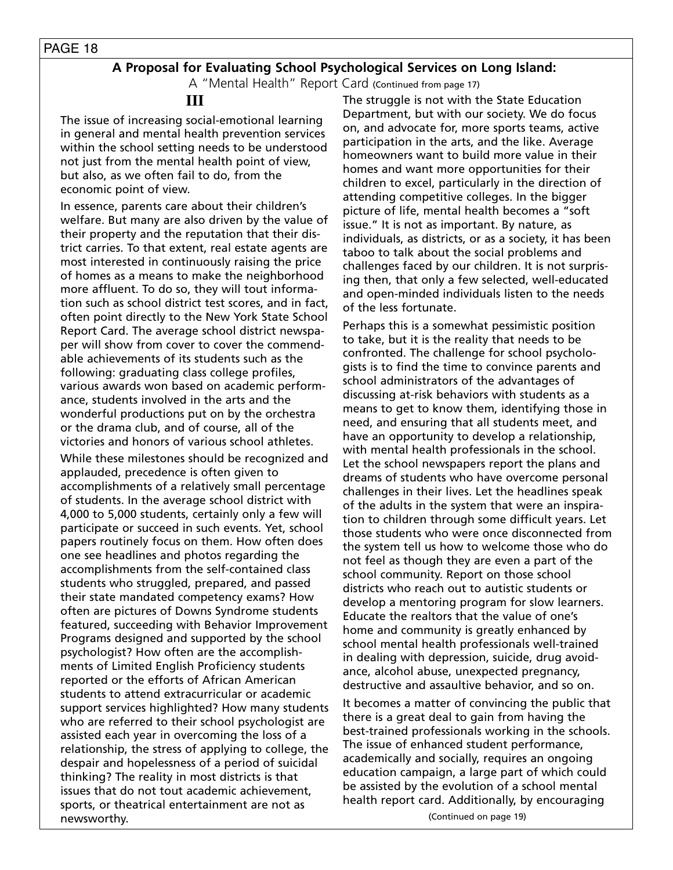A "Mental Health" Report Card (Continued from page 17)

## **III**

The issue of increasing social-emotional learning in general and mental health prevention services within the school setting needs to be understood not just from the mental health point of view, but also, as we often fail to do, from the economic point of view.

In essence, parents care about their children's welfare. But many are also driven by the value of their property and the reputation that their district carries. To that extent, real estate agents are most interested in continuously raising the price of homes as a means to make the neighborhood more affluent. To do so, they will tout information such as school district test scores, and in fact, often point directly to the New York State School Report Card. The average school district newspaper will show from cover to cover the commendable achievements of its students such as the following: graduating class college profiles, various awards won based on academic performance, students involved in the arts and the wonderful productions put on by the orchestra or the drama club, and of course, all of the victories and honors of various school athletes.

While these milestones should be recognized and applauded, precedence is often given to accomplishments of a relatively small percentage of students. In the average school district with 4,000 to 5,000 students, certainly only a few will participate or succeed in such events. Yet, school papers routinely focus on them. How often does one see headlines and photos regarding the accomplishments from the self-contained class students who struggled, prepared, and passed their state mandated competency exams? How often are pictures of Downs Syndrome students featured, succeeding with Behavior Improvement Programs designed and supported by the school psychologist? How often are the accomplishments of Limited English Proficiency students reported or the efforts of African American students to attend extracurricular or academic support services highlighted? How many students who are referred to their school psychologist are assisted each year in overcoming the loss of a relationship, the stress of applying to college, the despair and hopelessness of a period of suicidal thinking? The reality in most districts is that issues that do not tout academic achievement, sports, or theatrical entertainment are not as newsworthy.

The struggle is not with the State Education Department, but with our society. We do focus on, and advocate for, more sports teams, active participation in the arts, and the like. Average homeowners want to build more value in their homes and want more opportunities for their children to excel, particularly in the direction of attending competitive colleges. In the bigger picture of life, mental health becomes a "soft issue." It is not as important. By nature, as individuals, as districts, or as a society, it has been taboo to talk about the social problems and challenges faced by our children. It is not surprising then, that only a few selected, well-educated and open-minded individuals listen to the needs of the less fortunate.

Perhaps this is a somewhat pessimistic position to take, but it is the reality that needs to be confronted. The challenge for school psychologists is to find the time to convince parents and school administrators of the advantages of discussing at-risk behaviors with students as a means to get to know them, identifying those in need, and ensuring that all students meet, and have an opportunity to develop a relationship, with mental health professionals in the school. Let the school newspapers report the plans and dreams of students who have overcome personal challenges in their lives. Let the headlines speak of the adults in the system that were an inspiration to children through some difficult years. Let those students who were once disconnected from the system tell us how to welcome those who do not feel as though they are even a part of the school community. Report on those school districts who reach out to autistic students or develop a mentoring program for slow learners. Educate the realtors that the value of one's home and community is greatly enhanced by school mental health professionals well-trained in dealing with depression, suicide, drug avoidance, alcohol abuse, unexpected pregnancy, destructive and assaultive behavior, and so on.

It becomes a matter of convincing the public that there is a great deal to gain from having the best-trained professionals working in the schools. The issue of enhanced student performance, academically and socially, requires an ongoing education campaign, a large part of which could be assisted by the evolution of a school mental health report card. Additionally, by encouraging

(Continued on page 19)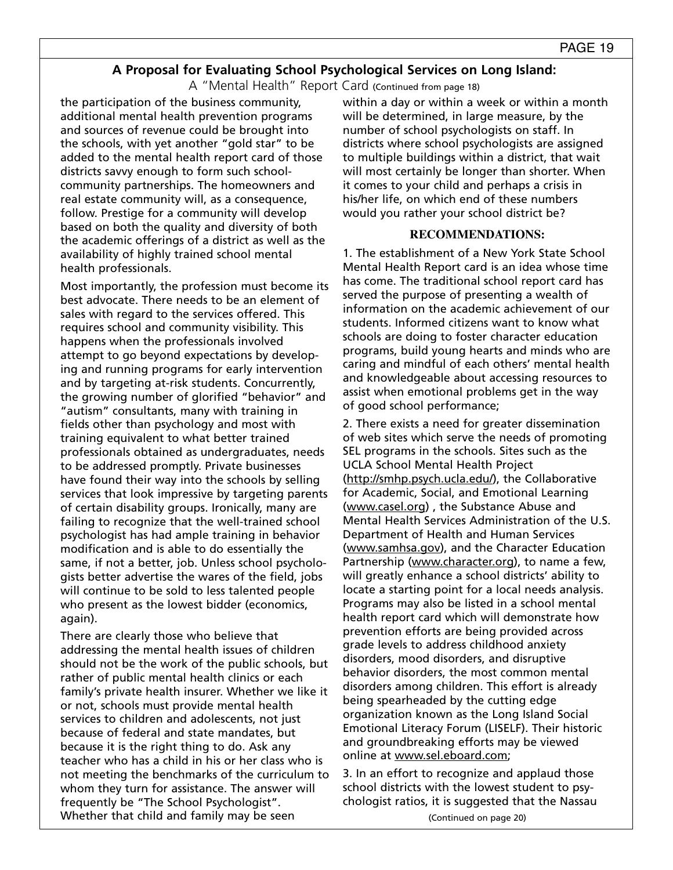A "Mental Health" Report Card (Continued from page 18)

the participation of the business community, additional mental health prevention programs and sources of revenue could be brought into the schools, with yet another "gold star" to be added to the mental health report card of those districts savvy enough to form such schoolcommunity partnerships. The homeowners and real estate community will, as a consequence, follow. Prestige for a community will develop based on both the quality and diversity of both the academic offerings of a district as well as the availability of highly trained school mental health professionals.

Most importantly, the profession must become its best advocate. There needs to be an element of sales with regard to the services offered. This requires school and community visibility. This happens when the professionals involved attempt to go beyond expectations by developing and running programs for early intervention and by targeting at-risk students. Concurrently, the growing number of glorified "behavior" and "autism" consultants, many with training in fields other than psychology and most with training equivalent to what better trained professionals obtained as undergraduates, needs to be addressed promptly. Private businesses have found their way into the schools by selling services that look impressive by targeting parents of certain disability groups. Ironically, many are failing to recognize that the well-trained school psychologist has had ample training in behavior modification and is able to do essentially the same, if not a better, job. Unless school psychologists better advertise the wares of the field, jobs will continue to be sold to less talented people who present as the lowest bidder (economics, again).

There are clearly those who believe that addressing the mental health issues of children should not be the work of the public schools, but rather of public mental health clinics or each family's private health insurer. Whether we like it or not, schools must provide mental health services to children and adolescents, not just because of federal and state mandates, but because it is the right thing to do. Ask any teacher who has a child in his or her class who is not meeting the benchmarks of the curriculum to whom they turn for assistance. The answer will frequently be "The School Psychologist". Whether that child and family may be seen

within a day or within a week or within a month will be determined, in large measure, by the number of school psychologists on staff. In districts where school psychologists are assigned to multiple buildings within a district, that wait will most certainly be longer than shorter. When it comes to your child and perhaps a crisis in his/her life, on which end of these numbers would you rather your school district be?

#### **RECOMMENDATIONS:**

1. The establishment of a New York State School Mental Health Report card is an idea whose time has come. The traditional school report card has served the purpose of presenting a wealth of information on the academic achievement of our students. Informed citizens want to know what schools are doing to foster character education programs, build young hearts and minds who are caring and mindful of each others' mental health and knowledgeable about accessing resources to assist when emotional problems get in the way of good school performance;

2. There exists a need for greater dissemination of web sites which serve the needs of promoting SEL programs in the schools. Sites such as the UCLA School Mental Health Project (http://smhp.psych.ucla.edu/), the Collaborative for Academic, Social, and Emotional Learning (www.casel.org) , the Substance Abuse and Mental Health Services Administration of the U.S. Department of Health and Human Services (www.samhsa.gov), and the Character Education Partnership (www.character.org), to name a few, will greatly enhance a school districts' ability to locate a starting point for a local needs analysis. Programs may also be listed in a school mental health report card which will demonstrate how prevention efforts are being provided across grade levels to address childhood anxiety disorders, mood disorders, and disruptive behavior disorders, the most common mental disorders among children. This effort is already being spearheaded by the cutting edge organization known as the Long Island Social Emotional Literacy Forum (LISELF). Their historic and groundbreaking efforts may be viewed online at www.sel.eboard.com;

3. In an effort to recognize and applaud those school districts with the lowest student to psychologist ratios, it is suggested that the Nassau

(Continued on page 20)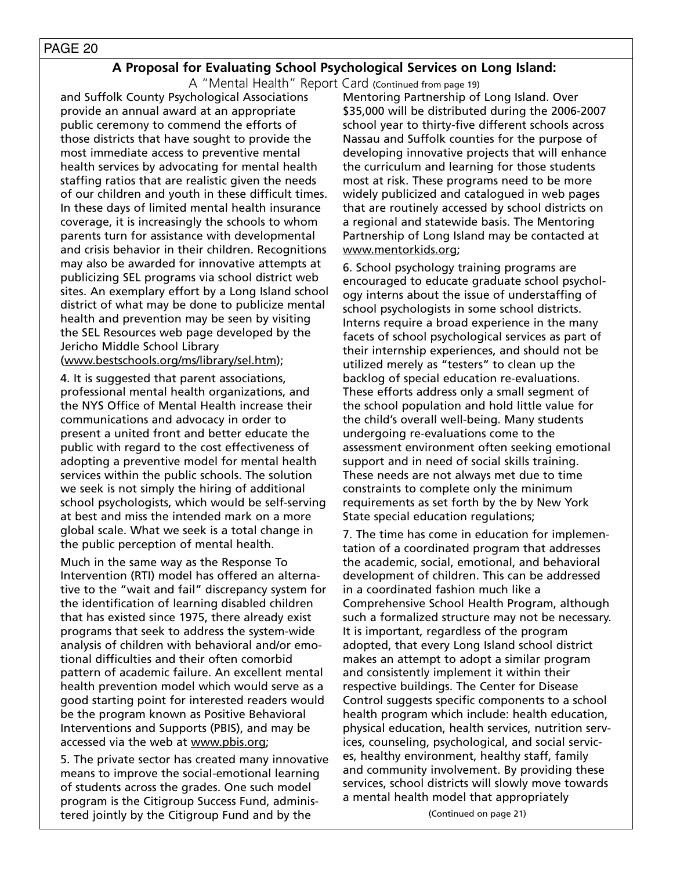#### **A Proposal for Evaluating School Psychological Services on Long Island:**

A "Mental Health" Report Card (Continued from page 19)

and Suffolk County Psychological Associations provide an annual award at an appropriate public ceremony to commend the efforts of those districts that have sought to provide the most immediate access to preventive mental health services by advocating for mental health staffing ratios that are realistic given the needs of our children and youth in these difficult times. In these days of limited mental health insurance coverage, it is increasingly the schools to whom parents turn for assistance with developmental and crisis behavior in their children. Recognitions may also be awarded for innovative attempts at publicizing SEL programs via school district web sites. An exemplary effort by a Long Island school district of what may be done to publicize mental health and prevention may be seen by visiting the SEL Resources web page developed by the Jericho Middle School Library (www.bestschools.org/ms/library/sel.htm);

4. It is suggested that parent associations, professional mental health organizations, and the NYS Office of Mental Health increase their communications and advocacy in order to present a united front and better educate the public with regard to the cost effectiveness of adopting a preventive model for mental health services within the public schools. The solution we seek is not simply the hiring of additional school psychologists, which would be self-serving at best and miss the intended mark on a more global scale. What we seek is a total change in the public perception of mental health.

Much in the same way as the Response To Intervention (RTI) model has offered an alternative to the "wait and fail" discrepancy system for the identification of learning disabled children that has existed since 1975, there already exist programs that seek to address the system-wide analysis of children with behavioral and/or emotional difficulties and their often comorbid pattern of academic failure. An excellent mental health prevention model which would serve as a good starting point for interested readers would be the program known as Positive Behavioral Interventions and Supports (PBIS), and may be accessed via the web at www.pbis.org;

5. The private sector has created many innovative means to improve the social-emotional learning of students across the grades. One such model program is the Citigroup Success Fund, administered jointly by the Citigroup Fund and by the

Mentoring Partnership of Long Island. Over \$35,000 will be distributed during the 2006-2007 school year to thirty-five different schools across Nassau and Suffolk counties for the purpose of developing innovative projects that will enhance the curriculum and learning for those students most at risk. These programs need to be more widely publicized and catalogued in web pages that are routinely accessed by school districts on a regional and statewide basis. The Mentoring Partnership of Long Island may be contacted at www.mentorkids.org;

6. School psychology training programs are encouraged to educate graduate school psychology interns about the issue of understaffing of school psychologists in some school districts. Interns require a broad experience in the many facets of school psychological services as part of their internship experiences, and should not be utilized merely as "testers" to clean up the backlog of special education re-evaluations. These efforts address only a small segment of the school population and hold little value for the child's overall well-being. Many students undergoing re-evaluations come to the assessment environment often seeking emotional support and in need of social skills training. These needs are not always met due to time constraints to complete only the minimum requirements as set forth by the by New York State special education regulations;

7. The time has come in education for implementation of a coordinated program that addresses the academic, social, emotional, and behavioral development of children. This can be addressed in a coordinated fashion much like a Comprehensive School Health Program, although such a formalized structure may not be necessary. It is important, regardless of the program adopted, that every Long Island school district makes an attempt to adopt a similar program and consistently implement it within their respective buildings. The Center for Disease Control suggests specific components to a school health program which include: health education, physical education, health services, nutrition services, counseling, psychological, and social services, healthy environment, healthy staff, family and community involvement. By providing these services, school districts will slowly move towards a mental health model that appropriately

(Continued on page 21)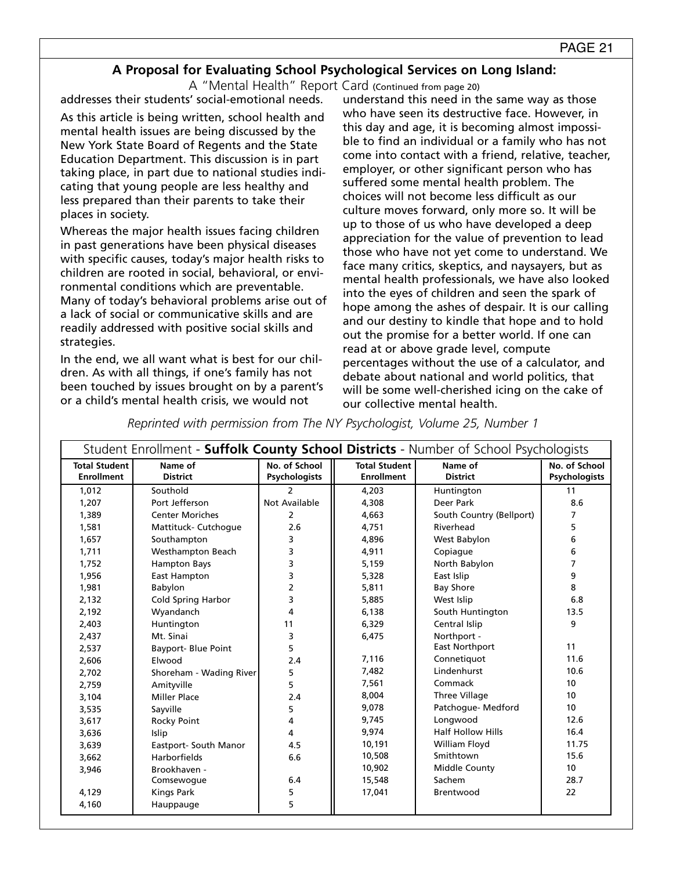A "Mental Health" Report Card (Continued from page 20)

addresses their students' social-emotional needs. As this article is being written, school health and mental health issues are being discussed by the New York State Board of Regents and the State Education Department. This discussion is in part taking place, in part due to national studies indicating that young people are less healthy and less prepared than their parents to take their places in society.

Whereas the major health issues facing children in past generations have been physical diseases with specific causes, today's major health risks to children are rooted in social, behavioral, or environmental conditions which are preventable. Many of today's behavioral problems arise out of a lack of social or communicative skills and are readily addressed with positive social skills and strategies.

In the end, we all want what is best for our children. As with all things, if one's family has not been touched by issues brought on by a parent's or a child's mental health crisis, we would not

understand this need in the same way as those who have seen its destructive face. However, in this day and age, it is becoming almost impossible to find an individual or a family who has not come into contact with a friend, relative, teacher, employer, or other significant person who has suffered some mental health problem. The choices will not become less difficult as our culture moves forward, only more so. It will be up to those of us who have developed a deep appreciation for the value of prevention to lead those who have not yet come to understand. We face many critics, skeptics, and naysayers, but as mental health professionals, we have also looked into the eyes of children and seen the spark of hope among the ashes of despair. It is our calling and our destiny to kindle that hope and to hold out the promise for a better world. If one can read at or above grade level, compute percentages without the use of a calculator, and debate about national and world politics, that will be some well-cherished icing on the cake of our collective mental health.

|                                           | Student Enrollment - Suffolk County School Districts - Number of School Psychologists |                                       |                                           |                            |                                       |
|-------------------------------------------|---------------------------------------------------------------------------------------|---------------------------------------|-------------------------------------------|----------------------------|---------------------------------------|
| <b>Total Student</b><br><b>Enrollment</b> | Name of<br><b>District</b>                                                            | No. of School<br><b>Psychologists</b> | <b>Total Student</b><br><b>Enrollment</b> | Name of<br><b>District</b> | No. of School<br><b>Psychologists</b> |
| 1,012                                     | Southold                                                                              | 2                                     | 4,203                                     | Huntington                 | 11                                    |
| 1,207                                     | Port Jefferson                                                                        | <b>Not Available</b>                  | 4,308                                     | Deer Park                  | 8.6                                   |
| 1,389                                     | <b>Center Moriches</b>                                                                | 2                                     | 4,663                                     | South Country (Bellport)   | $\overline{7}$                        |
| 1,581                                     | Mattituck- Cutchogue                                                                  | 2.6                                   | 4,751                                     | Riverhead                  | 5                                     |
| 1.657                                     | Southampton                                                                           | 3                                     | 4.896                                     | West Babylon               | 6                                     |
| 1,711                                     | <b>Westhampton Beach</b>                                                              | 3                                     | 4,911                                     | Copiaque                   | 6                                     |
| 1,752                                     | <b>Hampton Bays</b>                                                                   | 3                                     | 5,159                                     | North Babylon              | $\overline{7}$                        |
| 1,956                                     | East Hampton                                                                          | 3                                     | 5,328                                     | East Islip                 | 9                                     |
| 1,981                                     | Babylon                                                                               | 2                                     | 5,811                                     | <b>Bay Shore</b>           | 8                                     |
| 2,132                                     | <b>Cold Spring Harbor</b>                                                             | 3                                     | 5.885                                     | West Islip                 | 6.8                                   |
| 2,192                                     | Wyandanch                                                                             | 4                                     | 6,138                                     | South Huntington           | 13.5                                  |
| 2,403                                     | Huntington                                                                            | 11                                    | 6,329                                     | Central Islip              | 9                                     |
| 2,437                                     | Mt. Sinai                                                                             | 3                                     | 6,475                                     | Northport -                |                                       |
| 2,537                                     | <b>Bayport- Blue Point</b>                                                            | 5                                     |                                           | <b>East Northport</b>      | 11                                    |
| 2,606                                     | Elwood                                                                                | 2.4                                   | 7,116                                     | Connetiquot                | 11.6                                  |
| 2,702                                     | Shoreham - Wading River                                                               | 5                                     | 7,482                                     | Lindenhurst                | 10.6                                  |
| 2,759                                     | Amityville                                                                            | 5                                     | 7,561                                     | Commack                    | 10 <sup>10</sup>                      |
| 3,104                                     | <b>Miller Place</b>                                                                   | 2.4                                   | 8,004                                     | Three Village              | 10 <sup>10</sup>                      |
| 3,535                                     | Sayville                                                                              | 5                                     | 9.078                                     | Patchogue- Medford         | 10 <sup>10</sup>                      |
| 3,617                                     | <b>Rocky Point</b>                                                                    | 4                                     | 9,745                                     | Longwood                   | 12.6                                  |
| 3,636                                     | Islip                                                                                 | 4                                     | 9,974                                     | <b>Half Hollow Hills</b>   | 16.4                                  |
| 3,639                                     | Eastport- South Manor                                                                 | 4.5                                   | 10,191                                    | <b>William Floyd</b>       | 11.75                                 |
| 3,662                                     | Harborfields                                                                          | 6.6                                   | 10,508                                    | Smithtown                  | 15.6                                  |
| 3,946                                     | Brookhaven -                                                                          |                                       | 10,902                                    | Middle County              | 10 <sup>10</sup>                      |
|                                           | Comsewoque                                                                            | 6.4                                   | 15,548                                    | Sachem                     | 28.7                                  |
| 4,129                                     | <b>Kings Park</b>                                                                     | 5                                     | 17,041                                    | Brentwood                  | 22                                    |
| 4,160                                     | Hauppauge                                                                             | 5                                     |                                           |                            |                                       |

*Reprinted with permission from The NY Psychologist, Volume 25, Number 1*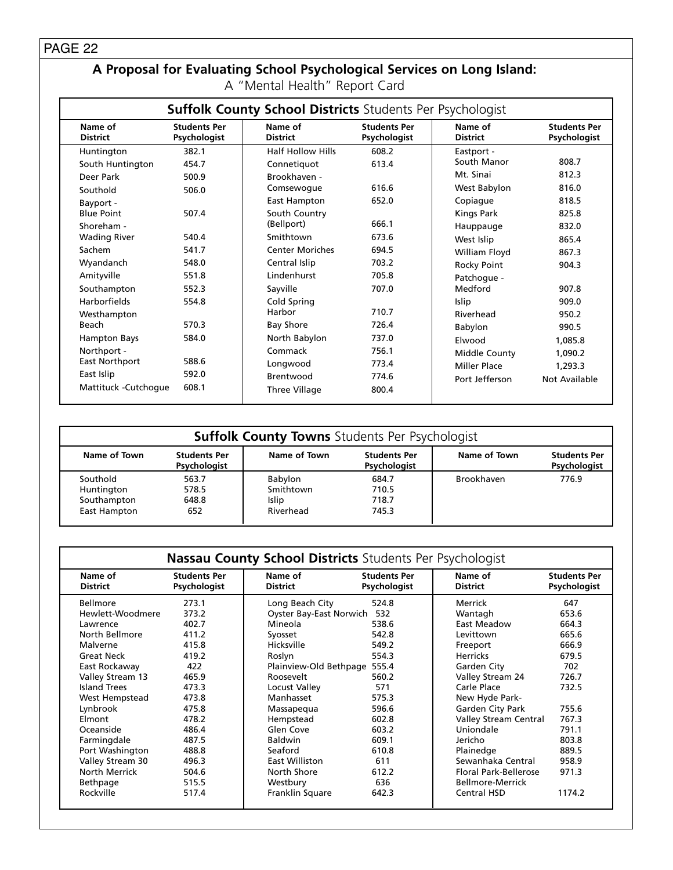## **A Proposal for Evaluating School Psychological Services on Long Island:**

A "Mental Health" Report Card

| <b>Suffolk County School Districts Students Per Psychologist</b> |                                     |                            |                                     |                            |                                     |
|------------------------------------------------------------------|-------------------------------------|----------------------------|-------------------------------------|----------------------------|-------------------------------------|
| Name of<br><b>District</b>                                       | <b>Students Per</b><br>Psychologist | Name of<br><b>District</b> | <b>Students Per</b><br>Psychologist | Name of<br><b>District</b> | <b>Students Per</b><br>Psychologist |
| Huntington                                                       | 382.1                               | <b>Half Hollow Hills</b>   | 608.2                               | Eastport -                 |                                     |
| South Huntington                                                 | 454.7                               | Connetiquot                | 613.4                               | South Manor                | 808.7                               |
| Deer Park                                                        | 500.9                               | Brookhaven -               |                                     | Mt. Sinai                  | 812.3                               |
| Southold                                                         | 506.0                               | Comsewogue                 | 616.6                               | West Babylon               | 816.0                               |
| Bayport -                                                        |                                     | East Hampton               | 652.0                               | Copiague                   | 818.5                               |
| <b>Blue Point</b>                                                | 507.4                               | South Country              |                                     | <b>Kings Park</b>          | 825.8                               |
| Shoreham -                                                       |                                     | (Bellport)                 | 666.1                               | Hauppauge                  | 832.0                               |
| <b>Wading River</b>                                              | 540.4                               | Smithtown                  | 673.6                               | West Islip                 | 865.4                               |
| Sachem                                                           | 541.7                               | <b>Center Moriches</b>     | 694.5                               | William Floyd              | 867.3                               |
| Wyandanch                                                        | 548.0                               | Central Islip              | 703.2                               | <b>Rocky Point</b>         | 904.3                               |
| Amityville                                                       | 551.8                               | Lindenhurst                | 705.8                               | Patchogue -                |                                     |
| Southampton                                                      | 552.3                               | Sayville                   | 707.0                               | Medford                    | 907.8                               |
| <b>Harborfields</b>                                              | 554.8                               | Cold Spring                |                                     | Islip                      | 909.0                               |
| Westhampton                                                      |                                     | Harbor                     | 710.7                               | Riverhead                  | 950.2                               |
| Beach                                                            | 570.3                               | Bay Shore                  | 726.4                               | Babylon                    | 990.5                               |
| Hampton Bays                                                     | 584.0                               | North Babylon              | 737.0                               | Elwood                     | 1.085.8                             |
| Northport -                                                      |                                     | Commack                    | 756.1                               | Middle County              | 1.090.2                             |
| East Northport                                                   | 588.6                               | Longwood                   | 773.4                               | <b>Miller Place</b>        | 1,293.3                             |
| East Islip                                                       | 592.0                               | Brentwood                  | 774.6                               | Port Jefferson             | Not Available                       |
| Mattituck - Cutchoque                                            | 608.1                               | Three Village              | 800.4                               |                            |                                     |

|                                                       | <b>Suffolk County Towns</b> Students Per Psychologist |                                            |                                     |              |                                     |  |
|-------------------------------------------------------|-------------------------------------------------------|--------------------------------------------|-------------------------------------|--------------|-------------------------------------|--|
| Name of Town                                          | <b>Students Per</b><br>Psychologist                   | Name of Town                               | <b>Students Per</b><br>Psychologist | Name of Town | <b>Students Per</b><br>Psychologist |  |
| Southold<br>Huntington<br>Southampton<br>East Hampton | 563.7<br>578.5<br>648.8<br>652                        | Babylon<br>Smithtown<br>Islip<br>Riverhead | 684.7<br>710.5<br>718.7<br>745.3    | Brookhaven   | 776.9                               |  |

| <b>Nassau County School Districts Students Per Psychologist</b> |                                     |                                |                                     |                              |                                     |
|-----------------------------------------------------------------|-------------------------------------|--------------------------------|-------------------------------------|------------------------------|-------------------------------------|
| Name of<br><b>District</b>                                      | <b>Students Per</b><br>Psychologist | Name of<br><b>District</b>     | <b>Students Per</b><br>Psychologist | Name of<br><b>District</b>   | <b>Students Per</b><br>Psychologist |
| Bellmore                                                        | 273.1                               | Long Beach City                | 524.8                               | Merrick                      | 647                                 |
| Hewlett-Woodmere                                                | 373.2                               | <b>Oyster Bay-East Norwich</b> | 532                                 | Wantagh                      | 653.6                               |
| Lawrence                                                        | 402.7                               | Mineola                        | 538.6                               | East Meadow                  | 664.3                               |
| North Bellmore                                                  | 411.2                               | Syosset                        | 542.8                               | Levittown                    | 665.6                               |
| Malverne                                                        | 415.8                               | Hicksville                     | 549.2                               | Freeport                     | 666.9                               |
| <b>Great Neck</b>                                               | 419.2                               | Roslyn                         | 554.3                               | <b>Herricks</b>              | 679.5                               |
| East Rockaway                                                   | 422                                 | Plainview-Old Bethpage 555.4   |                                     | Garden City                  | 702                                 |
| Valley Stream 13                                                | 465.9                               | Roosevelt                      | 560.2                               | Valley Stream 24             | 726.7                               |
| <b>Island Trees</b>                                             | 473.3                               | Locust Valley                  | 571                                 | Carle Place                  | 732.5                               |
| West Hempstead                                                  | 473.8                               | Manhasset                      | 575.3                               | New Hyde Park-               |                                     |
| Lynbrook                                                        | 475.8                               | Massapegua                     | 596.6                               | Garden City Park             | 755.6                               |
| Elmont                                                          | 478.2                               | Hempstead                      | 602.8                               | Valley Stream Central        | 767.3                               |
| Oceanside                                                       | 486.4                               | Glen Cove                      | 603.2                               | Uniondale                    | 791.1                               |
| Farmingdale                                                     | 487.5                               | <b>Baldwin</b>                 | 609.1                               | Jericho                      | 803.8                               |
| Port Washington                                                 | 488.8                               | Seaford                        | 610.8                               | Plainedge                    | 889.5                               |
| Valley Stream 30                                                | 496.3                               | East Williston                 | 611                                 | Sewanhaka Central            | 958.9                               |
| North Merrick                                                   | 504.6                               | North Shore                    | 612.2                               | <b>Floral Park-Bellerose</b> | 971.3                               |
| Bethpage                                                        | 515.5                               | Westbury                       | 636                                 | <b>Bellmore-Merrick</b>      |                                     |
| Rockville                                                       | 517.4                               | Franklin Square                | 642.3                               | Central HSD                  | 1174.2                              |